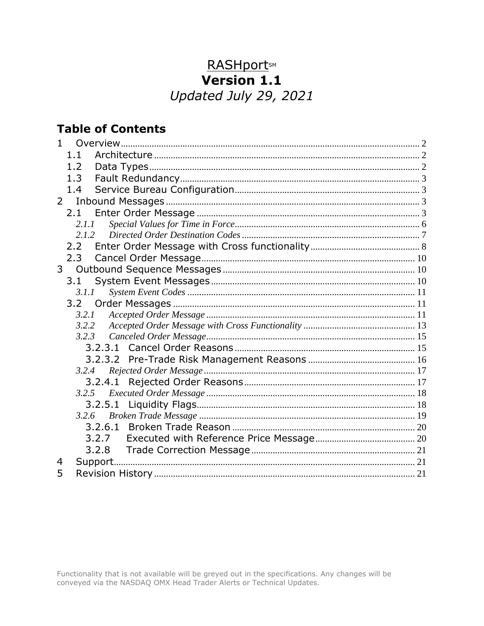# **RASHportsM**<br>**Version 1.1** Updated July 29, 2021

## **Table of Contents**

| $\mathbf{1}$   |         |  |
|----------------|---------|--|
|                | 1.1     |  |
|                | 1.2     |  |
|                | 1.3     |  |
|                | 1.4     |  |
| $2^{\circ}$    |         |  |
|                | 2.1     |  |
|                | 2.1.1   |  |
|                | 2.1.2   |  |
|                | 2.2     |  |
|                | 2.3     |  |
| 3 <sup>7</sup> |         |  |
|                | 3.1     |  |
|                | 3.1.1   |  |
|                |         |  |
|                | 3.2.1   |  |
|                | 3.2.2   |  |
|                | 3.2.3   |  |
|                |         |  |
|                |         |  |
|                | 3.2.4   |  |
|                |         |  |
|                | 3.2.5   |  |
|                | 3.2.5.1 |  |
|                | 3.2.6   |  |
|                | 3.2.6.1 |  |
|                | 3.2.7   |  |
|                | 3.2.8   |  |
| 4              |         |  |
| 5              |         |  |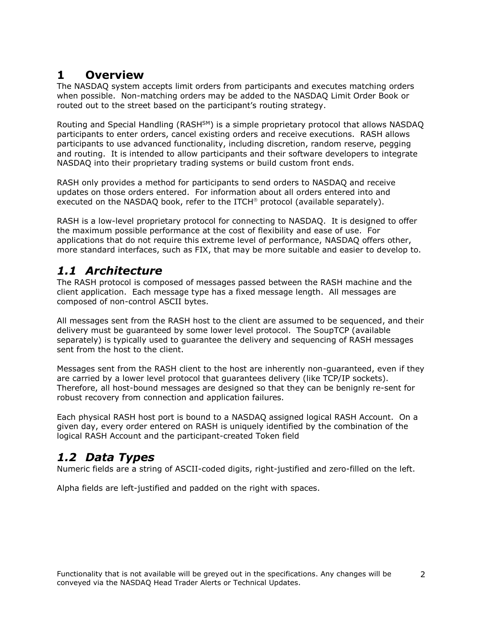#### <span id="page-1-0"></span>**1 Overview**

The NASDAQ system accepts limit orders from participants and executes matching orders when possible. Non-matching orders may be added to the NASDAQ Limit Order Book or routed out to the street based on the participant's routing strategy.

Routing and Special Handling (RASH<sup>SM</sup>) is a simple proprietary protocol that allows NASDAQ participants to enter orders, cancel existing orders and receive executions. RASH allows participants to use advanced functionality, including discretion, random reserve, pegging and routing. It is intended to allow participants and their software developers to integrate NASDAQ into their proprietary trading systems or build custom front ends.

RASH only provides a method for participants to send orders to NASDAQ and receive updates on those orders entered. For information about all orders entered into and executed on the NASDAQ book, refer to the ITCH<sup>®</sup> protocol (available separately).

RASH is a low-level proprietary protocol for connecting to NASDAQ. It is designed to offer the maximum possible performance at the cost of flexibility and ease of use. For applications that do not require this extreme level of performance, NASDAQ offers other, more standard interfaces, such as FIX, that may be more suitable and easier to develop to.

#### <span id="page-1-1"></span>*1.1 Architecture*

The RASH protocol is composed of messages passed between the RASH machine and the client application. Each message type has a fixed message length. All messages are composed of non-control ASCII bytes.

All messages sent from the RASH host to the client are assumed to be sequenced, and their delivery must be guaranteed by some lower level protocol. The SoupTCP (available separately) is typically used to guarantee the delivery and sequencing of RASH messages sent from the host to the client.

Messages sent from the RASH client to the host are inherently non-guaranteed, even if they are carried by a lower level protocol that guarantees delivery (like TCP/IP sockets). Therefore, all host-bound messages are designed so that they can be benignly re-sent for robust recovery from connection and application failures.

Each physical RASH host port is bound to a NASDAQ assigned logical RASH Account. On a given day, every order entered on RASH is uniquely identified by the combination of the logical RASH Account and the participant-created Token field

## <span id="page-1-2"></span>*1.2 Data Types*

Numeric fields are a string of ASCII-coded digits, right-justified and zero-filled on the left.

Alpha fields are left-justified and padded on the right with spaces.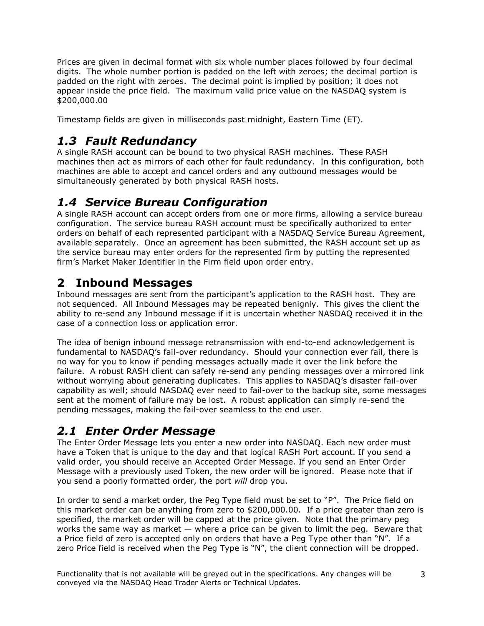Prices are given in decimal format with six whole number places followed by four decimal digits. The whole number portion is padded on the left with zeroes; the decimal portion is padded on the right with zeroes. The decimal point is implied by position; it does not appear inside the price field. The maximum valid price value on the NASDAQ system is \$200,000.00

Timestamp fields are given in milliseconds past midnight, Eastern Time (ET).

## <span id="page-2-0"></span>*1.3 Fault Redundancy*

A single RASH account can be bound to two physical RASH machines. These RASH machines then act as mirrors of each other for fault redundancy. In this configuration, both machines are able to accept and cancel orders and any outbound messages would be simultaneously generated by both physical RASH hosts.

#### <span id="page-2-1"></span>*1.4 Service Bureau Configuration*

A single RASH account can accept orders from one or more firms, allowing a service bureau configuration. The service bureau RASH account must be specifically authorized to enter orders on behalf of each represented participant with a NASDAQ Service Bureau Agreement, available separately. Once an agreement has been submitted, the RASH account set up as the service bureau may enter orders for the represented firm by putting the represented firm's Market Maker Identifier in the Firm field upon order entry.

# <span id="page-2-2"></span>**2 Inbound Messages**

Inbound messages are sent from the participant's application to the RASH host. They are not sequenced. All Inbound Messages may be repeated benignly. This gives the client the ability to re-send any Inbound message if it is uncertain whether NASDAQ received it in the case of a connection loss or application error.

The idea of benign inbound message retransmission with end-to-end acknowledgement is fundamental to NASDAQ's fail-over redundancy. Should your connection ever fail, there is no way for you to know if pending messages actually made it over the link before the failure. A robust RASH client can safely re-send any pending messages over a mirrored link without worrying about generating duplicates. This applies to NASDAQ's disaster fail-over capability as well; should NASDAQ ever need to fail-over to the backup site, some messages sent at the moment of failure may be lost. A robust application can simply re-send the pending messages, making the fail-over seamless to the end user.

## <span id="page-2-3"></span>*2.1 Enter Order Message*

The Enter Order Message lets you enter a new order into NASDAQ. Each new order must have a Token that is unique to the day and that logical RASH Port account. If you send a valid order, you should receive an Accepted Order Message. If you send an Enter Order Message with a previously used Token, the new order will be ignored. Please note that if you send a poorly formatted order, the port *will* drop you.

In order to send a market order, the Peg Type field must be set to "P". The Price field on this market order can be anything from zero to \$200,000.00. If a price greater than zero is specified, the market order will be capped at the price given. Note that the primary peg works the same way as market  $-$  where a price can be given to limit the peg. Beware that a Price field of zero is accepted only on orders that have a Peg Type other than "N". If a zero Price field is received when the Peg Type is "N", the client connection will be dropped.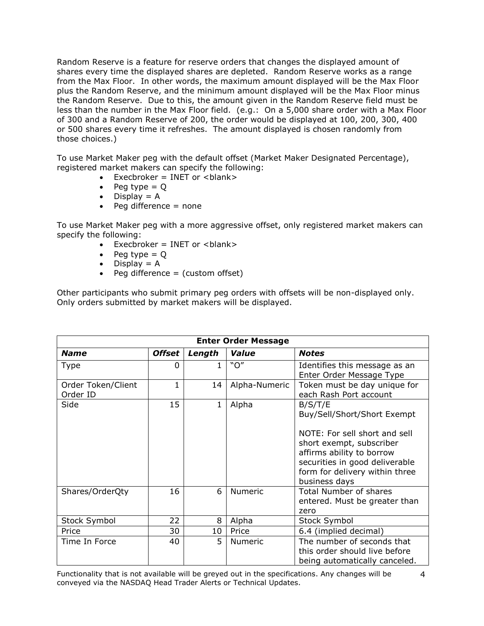Random Reserve is a feature for reserve orders that changes the displayed amount of shares every time the displayed shares are depleted. Random Reserve works as a range from the Max Floor. In other words, the maximum amount displayed will be the Max Floor plus the Random Reserve, and the minimum amount displayed will be the Max Floor minus the Random Reserve. Due to this, the amount given in the Random Reserve field must be less than the number in the Max Floor field. (e.g.: On a 5,000 share order with a Max Floor of 300 and a Random Reserve of 200, the order would be displayed at 100, 200, 300, 400 or 500 shares every time it refreshes. The amount displayed is chosen randomly from those choices.)

To use Market Maker peg with the default offset (Market Maker Designated Percentage), registered market makers can specify the following:

- $\bullet$  Execbroker = INET or <br/>blank>
- Peg type  $= Q$
- $\bullet$  Display = A
- $\bullet$  Peg difference = none

To use Market Maker peg with a more aggressive offset, only registered market makers can specify the following:

- $\bullet$  Execbroker = INET or <br/>blank>
- $\bullet$  Peg type = Q
- $\bullet$  Display = A
- $\bullet$  Peg difference = (custom offset)

Other participants who submit primary peg orders with offsets will be non-displayed only. Only orders submitted by market makers will be displayed.

| <b>Enter Order Message</b>     |               |              |               |                                                                                                                                                                                                                       |  |  |  |
|--------------------------------|---------------|--------------|---------------|-----------------------------------------------------------------------------------------------------------------------------------------------------------------------------------------------------------------------|--|--|--|
| <b>Name</b>                    | <b>Offset</b> | Length       | Value         | <b>Notes</b>                                                                                                                                                                                                          |  |  |  |
| <b>Type</b>                    | 0             | 1            | "O''          | Identifies this message as an<br>Enter Order Message Type                                                                                                                                                             |  |  |  |
| Order Token/Client<br>Order ID | 1             | 14           | Alpha-Numeric | Token must be day unique for<br>each Rash Port account                                                                                                                                                                |  |  |  |
| Side                           | 15            | $\mathbf{1}$ | Alpha         | B/S/T/E<br>Buy/Sell/Short/Short Exempt<br>NOTE: For sell short and sell<br>short exempt, subscriber<br>affirms ability to borrow<br>securities in good deliverable<br>form for delivery within three<br>business days |  |  |  |
| Shares/OrderQty                | 16            | 6            | Numeric       | <b>Total Number of shares</b><br>entered. Must be greater than<br>zero                                                                                                                                                |  |  |  |
| Stock Symbol                   | 22            | 8            | Alpha         | Stock Symbol                                                                                                                                                                                                          |  |  |  |
| Price                          | 30            | 10           | Price         | 6.4 (implied decimal)                                                                                                                                                                                                 |  |  |  |
| Time In Force                  | 40            | 5            | Numeric       | The number of seconds that<br>this order should live before<br>being automatically canceled.                                                                                                                          |  |  |  |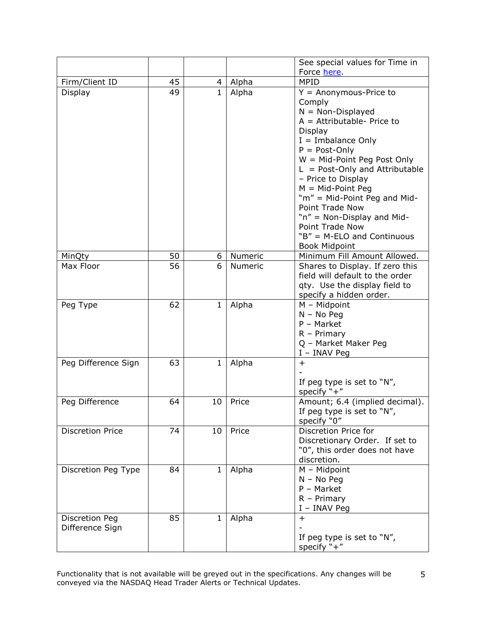|                         |    |                |         | See special values for Time in                         |
|-------------------------|----|----------------|---------|--------------------------------------------------------|
|                         |    |                |         | Force here                                             |
| Firm/Client ID          | 45 | $\overline{4}$ | Alpha   | <b>MPID</b>                                            |
| Display                 | 49 | $\mathbf{1}$   | Alpha   | $Y =$ Anonymous-Price to                               |
|                         |    |                |         | Comply                                                 |
|                         |    |                |         | $N = Non-Displayed$                                    |
|                         |    |                |         | $A =$ Attributable- Price to                           |
|                         |    |                |         | <b>Display</b>                                         |
|                         |    |                |         | $I =$ Imbalance Only                                   |
|                         |    |                |         | $P = Post-Only$                                        |
|                         |    |                |         | $W = Mid-Point Peg Post Only$                          |
|                         |    |                |         | $L = Post-Only$ and Attributable                       |
|                         |    |                |         | - Price to Display                                     |
|                         |    |                |         | $M = Mid-Point Peg$                                    |
|                         |    |                |         | "m" = Mid-Point Peg and Mid-                           |
|                         |    |                |         | <b>Point Trade Now</b>                                 |
|                         |    |                |         | "n" = Non-Display and Mid-<br><b>Point Trade Now</b>   |
|                         |    |                |         | "B" = M-ELO and Continuous                             |
|                         |    |                |         | <b>Book Midpoint</b>                                   |
| MinQty                  | 50 | 6              | Numeric | Minimum Fill Amount Allowed.                           |
| Max Floor               | 56 | 6              | Numeric | Shares to Display. If zero this                        |
|                         |    |                |         | field will default to the order                        |
|                         |    |                |         | qty. Use the display field to                          |
|                         |    |                |         | specify a hidden order.                                |
| Peg Type                | 62 | $\mathbf{1}$   | Alpha   | $M - Midpoint$                                         |
|                         |    |                |         | $N - No$ Peg                                           |
|                         |    |                |         | $P - Market$                                           |
|                         |    |                |         | $R$ – Primary                                          |
|                         |    |                |         | Q - Market Maker Peg                                   |
|                         |    |                |         | I - INAV Peg                                           |
| Peg Difference Sign     | 63 | $\mathbf{1}$   | Alpha   | $+$                                                    |
|                         |    |                |         |                                                        |
|                         |    |                |         | If peg type is set to "N",                             |
|                         |    |                |         | specify $"+'$                                          |
| Peg Difference          | 64 | 10             | Price   | Amount; 6.4 (implied decimal).                         |
|                         |    |                |         | If peg type is set to "N",                             |
| <b>Discretion Price</b> |    |                |         | specify "0"                                            |
|                         | 74 | 10             | Price   | Discretion Price for<br>Discretionary Order. If set to |
|                         |    |                |         | "0", this order does not have                          |
|                         |    |                |         | discretion.                                            |
| Discretion Peg Type     | 84 | $\mathbf{1}$   | Alpha   | $M - Midpoint$                                         |
|                         |    |                |         | $N - No$ Peg                                           |
|                         |    |                |         | $P - Market$                                           |
|                         |    |                |         | $R - Primary$                                          |
|                         |    |                |         | I - INAV Peg                                           |
| Discretion Peg          | 85 | $\mathbf{1}$   | Alpha   | $+$                                                    |
| Difference Sign         |    |                |         |                                                        |
|                         |    |                |         | If peg type is set to "N",                             |
|                         |    |                |         | specify "+"                                            |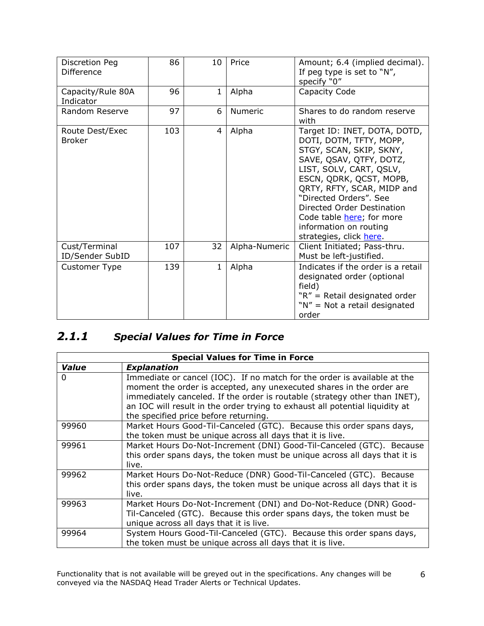| Discretion Peg<br><b>Difference</b> | 86  | 10             | Price          | Amount; 6.4 (implied decimal).<br>If peg type is set to "N",<br>specify "0"                                                                                                                                                                                                                                                                 |  |
|-------------------------------------|-----|----------------|----------------|---------------------------------------------------------------------------------------------------------------------------------------------------------------------------------------------------------------------------------------------------------------------------------------------------------------------------------------------|--|
| Capacity/Rule 80A<br>Indicator      | 96  | 1              | Alpha          | Capacity Code                                                                                                                                                                                                                                                                                                                               |  |
| Random Reserve                      | 97  | 6              | <b>Numeric</b> | Shares to do random reserve<br>with                                                                                                                                                                                                                                                                                                         |  |
| Route Dest/Exec<br><b>Broker</b>    | 103 | $\overline{4}$ | Alpha          | Target ID: INET, DOTA, DOTD,<br>DOTI, DOTM, TFTY, MOPP,<br>STGY, SCAN, SKIP, SKNY,<br>SAVE, QSAV, QTFY, DOTZ,<br>LIST, SOLV, CART, QSLV,<br>ESCN, QDRK, QCST, MOPB,<br>QRTY, RFTY, SCAR, MIDP and<br>"Directed Orders". See<br>Directed Order Destination<br>Code table here; for more<br>information on routing<br>strategies, click here. |  |
| Cust/Terminal<br>ID/Sender SubID    | 107 | 32             | Alpha-Numeric  | Client Initiated; Pass-thru.<br>Must be left-justified.                                                                                                                                                                                                                                                                                     |  |
| <b>Customer Type</b>                | 139 | 1              | Alpha          | Indicates if the order is a retail<br>designated order (optional<br>field)<br>"R" = Retail designated order<br>"N" = Not a retail designated<br>order                                                                                                                                                                                       |  |

#### <span id="page-5-0"></span>*2.1.1 Special Values for Time in Force*

<span id="page-5-1"></span>

|          | <b>Special Values for Time in Force</b>                                                                                                                                                                                                                                                                                                                 |  |  |  |  |  |  |
|----------|---------------------------------------------------------------------------------------------------------------------------------------------------------------------------------------------------------------------------------------------------------------------------------------------------------------------------------------------------------|--|--|--|--|--|--|
| Value    | <b>Explanation</b>                                                                                                                                                                                                                                                                                                                                      |  |  |  |  |  |  |
| $\Omega$ | Immediate or cancel (IOC). If no match for the order is available at the<br>moment the order is accepted, any unexecuted shares in the order are<br>immediately canceled. If the order is routable (strategy other than INET),<br>an IOC will result in the order trying to exhaust all potential liquidity at<br>the specified price before returning. |  |  |  |  |  |  |
| 99960    | Market Hours Good-Til-Canceled (GTC). Because this order spans days,<br>the token must be unique across all days that it is live.                                                                                                                                                                                                                       |  |  |  |  |  |  |
| 99961    | Market Hours Do-Not-Increment (DNI) Good-Til-Canceled (GTC). Because<br>this order spans days, the token must be unique across all days that it is<br>live.                                                                                                                                                                                             |  |  |  |  |  |  |
| 99962    | Market Hours Do-Not-Reduce (DNR) Good-Til-Canceled (GTC). Because<br>this order spans days, the token must be unique across all days that it is<br>live.                                                                                                                                                                                                |  |  |  |  |  |  |
| 99963    | Market Hours Do-Not-Increment (DNI) and Do-Not-Reduce (DNR) Good-<br>Til-Canceled (GTC). Because this order spans days, the token must be<br>unique across all days that it is live.                                                                                                                                                                    |  |  |  |  |  |  |
| 99964    | System Hours Good-Til-Canceled (GTC). Because this order spans days,<br>the token must be unique across all days that it is live.                                                                                                                                                                                                                       |  |  |  |  |  |  |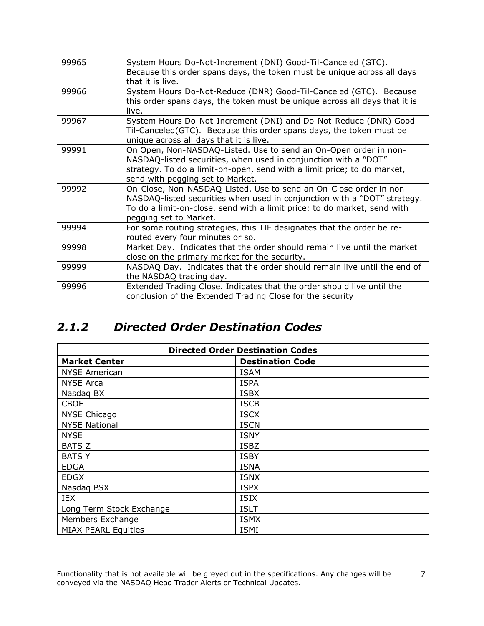| 99965 | System Hours Do-Not-Increment (DNI) Good-Til-Canceled (GTC).<br>Because this order spans days, the token must be unique across all days<br>that it is live.                                                                                          |
|-------|------------------------------------------------------------------------------------------------------------------------------------------------------------------------------------------------------------------------------------------------------|
| 99966 | System Hours Do-Not-Reduce (DNR) Good-Til-Canceled (GTC). Because<br>this order spans days, the token must be unique across all days that it is<br>live.                                                                                             |
| 99967 | System Hours Do-Not-Increment (DNI) and Do-Not-Reduce (DNR) Good-<br>Til-Canceled(GTC). Because this order spans days, the token must be<br>unique across all days that it is live.                                                                  |
| 99991 | On Open, Non-NASDAQ-Listed. Use to send an On-Open order in non-<br>NASDAQ-listed securities, when used in conjunction with a "DOT"<br>strategy. To do a limit-on-open, send with a limit price; to do market,<br>send with pegging set to Market.   |
| 99992 | On-Close, Non-NASDAQ-Listed. Use to send an On-Close order in non-<br>NASDAQ-listed securities when used in conjunction with a "DOT" strategy.<br>To do a limit-on-close, send with a limit price; to do market, send with<br>pegging set to Market. |
| 99994 | For some routing strategies, this TIF designates that the order be re-<br>routed every four minutes or so.                                                                                                                                           |
| 99998 | Market Day. Indicates that the order should remain live until the market<br>close on the primary market for the security.                                                                                                                            |
| 99999 | NASDAQ Day. Indicates that the order should remain live until the end of<br>the NASDAQ trading day.                                                                                                                                                  |
| 99996 | Extended Trading Close. Indicates that the order should live until the<br>conclusion of the Extended Trading Close for the security                                                                                                                  |

#### <span id="page-6-0"></span>*2.1.2 Directed Order Destination Codes*

| <b>Directed Order Destination Codes</b> |                         |  |  |  |
|-----------------------------------------|-------------------------|--|--|--|
| <b>Market Center</b>                    | <b>Destination Code</b> |  |  |  |
| <b>NYSE American</b>                    | <b>ISAM</b>             |  |  |  |
| <b>NYSE Arca</b>                        | <b>ISPA</b>             |  |  |  |
| Nasdag BX                               | <b>ISBX</b>             |  |  |  |
| <b>CBOE</b>                             | <b>ISCB</b>             |  |  |  |
| <b>NYSE Chicago</b>                     | <b>ISCX</b>             |  |  |  |
| <b>NYSE National</b>                    | <b>ISCN</b>             |  |  |  |
| <b>NYSE</b>                             | <b>ISNY</b>             |  |  |  |
| <b>BATS Z</b>                           | <b>ISBZ</b>             |  |  |  |
| <b>BATSY</b>                            | <b>ISBY</b>             |  |  |  |
| <b>EDGA</b>                             | <b>ISNA</b>             |  |  |  |
| <b>EDGX</b>                             | <b>ISNX</b>             |  |  |  |
| Nasdag PSX                              | <b>ISPX</b>             |  |  |  |
| IEX                                     | <b>ISIX</b>             |  |  |  |
| Long Term Stock Exchange                | <b>ISLT</b>             |  |  |  |
| Members Exchange                        | <b>ISMX</b>             |  |  |  |
| <b>MIAX PEARL Equities</b>              | <b>ISMI</b>             |  |  |  |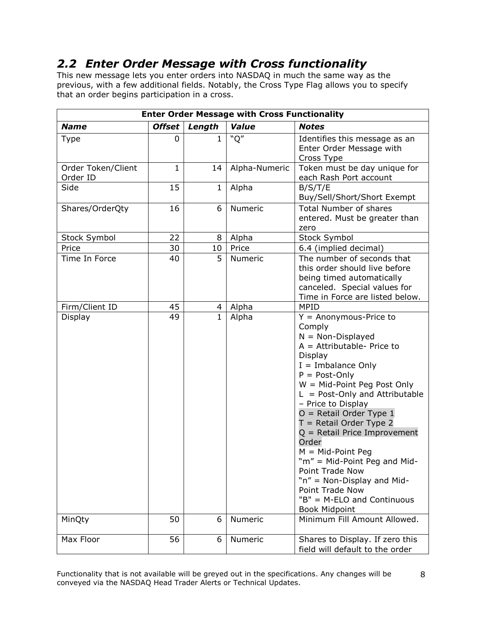#### <span id="page-7-0"></span>*2.2 Enter Order Message with Cross functionality*

This new message lets you enter orders into NASDAQ in much the same way as the previous, with a few additional fields. Notably, the Cross Type Flag allows you to specify that an order begins participation in a cross.

| <b>Enter Order Message with Cross Functionality</b> |                         |              |               |                                                                                                                                                                                                                                                                                                                                                                                                                                                                                                                                  |  |  |
|-----------------------------------------------------|-------------------------|--------------|---------------|----------------------------------------------------------------------------------------------------------------------------------------------------------------------------------------------------------------------------------------------------------------------------------------------------------------------------------------------------------------------------------------------------------------------------------------------------------------------------------------------------------------------------------|--|--|
| <b>Name</b>                                         | <b>Offset</b><br>Length |              | <b>Value</b>  | <b>Notes</b>                                                                                                                                                                                                                                                                                                                                                                                                                                                                                                                     |  |  |
| <b>Type</b>                                         | 0                       | 1            | "Q"           | Identifies this message as an<br>Enter Order Message with<br>Cross Type                                                                                                                                                                                                                                                                                                                                                                                                                                                          |  |  |
| Order Token/Client<br>Order ID                      | $\mathbf{1}$            | 14           | Alpha-Numeric | Token must be day unique for<br>each Rash Port account                                                                                                                                                                                                                                                                                                                                                                                                                                                                           |  |  |
| Side                                                | 15                      | $\mathbf{1}$ | Alpha         | B/S/T/E<br>Buy/Sell/Short/Short Exempt                                                                                                                                                                                                                                                                                                                                                                                                                                                                                           |  |  |
| Shares/OrderQty                                     | 16                      | 6            | Numeric       | <b>Total Number of shares</b><br>entered. Must be greater than<br>zero                                                                                                                                                                                                                                                                                                                                                                                                                                                           |  |  |
| Stock Symbol                                        | 22                      | 8            | Alpha         | Stock Symbol                                                                                                                                                                                                                                                                                                                                                                                                                                                                                                                     |  |  |
| Price                                               | 30                      | 10           | Price         | 6.4 (implied decimal)                                                                                                                                                                                                                                                                                                                                                                                                                                                                                                            |  |  |
| Time In Force                                       | 40                      | 5            | Numeric       | The number of seconds that<br>this order should live before<br>being timed automatically<br>canceled. Special values for<br>Time in Force are listed below.                                                                                                                                                                                                                                                                                                                                                                      |  |  |
| Firm/Client ID                                      | 45                      | 4            | Alpha         | <b>MPID</b>                                                                                                                                                                                                                                                                                                                                                                                                                                                                                                                      |  |  |
| Display                                             | 49                      | $\mathbf{1}$ | Alpha         | $Y =$ Anonymous-Price to<br>Comply<br>$N = Non-Displayed$<br>$A =$ Attributable- Price to<br>Display<br>$I =$ Imbalance Only<br>$P = Post-Only$<br>$W = Mid-Point Peg Post Only$<br>$L = Post-Only$ and Attributable<br>- Price to Display<br>$O =$ Retail Order Type 1<br>$T =$ Retail Order Type 2<br>$Q =$ Retail Price Improvement<br>Order<br>$M = Mid-Point Peg$<br>"m" = Mid-Point Peg and Mid-<br>Point Trade Now<br>"n" = Non-Display and Mid-<br>Point Trade Now<br>"B" = M-ELO and Continuous<br><b>Book Midpoint</b> |  |  |
| MinQty                                              | 50                      | 6            | Numeric       | Minimum Fill Amount Allowed.                                                                                                                                                                                                                                                                                                                                                                                                                                                                                                     |  |  |
| Max Floor                                           | 56                      | 6            | Numeric       | Shares to Display. If zero this<br>field will default to the order                                                                                                                                                                                                                                                                                                                                                                                                                                                               |  |  |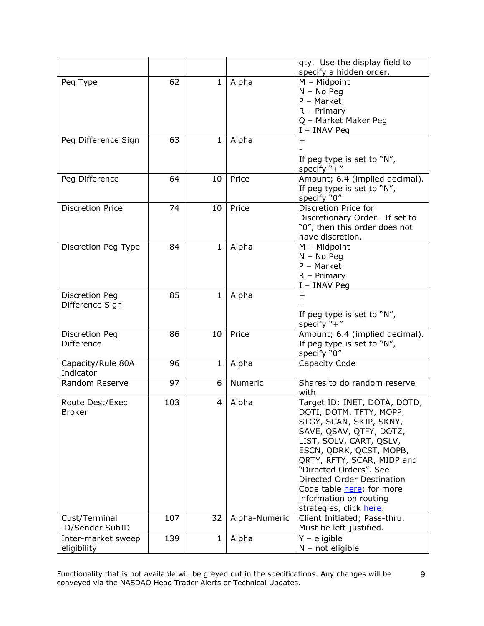|                             |     |              |               | qty. Use the display field to                   |
|-----------------------------|-----|--------------|---------------|-------------------------------------------------|
|                             |     |              |               | specify a hidden order.                         |
| Peg Type                    | 62  | $\mathbf 1$  | Alpha         | $M - Midpoint$                                  |
|                             |     |              |               | $N - No$ Peg                                    |
|                             |     |              |               | $P - Market$                                    |
|                             |     |              |               | $R - Primary$                                   |
|                             |     |              |               | Q - Market Maker Peg                            |
|                             |     |              |               | I - INAV Peg                                    |
| Peg Difference Sign         | 63  | $\mathbf{1}$ | Alpha         | $+$                                             |
|                             |     |              |               |                                                 |
|                             |     |              |               | If peg type is set to "N",                      |
|                             | 64  | 10           | Price         | specify $"+'$<br>Amount; 6.4 (implied decimal). |
| Peg Difference              |     |              |               | If peg type is set to "N",                      |
|                             |     |              |               | specify "0"                                     |
| <b>Discretion Price</b>     | 74  | 10           | Price         | Discretion Price for                            |
|                             |     |              |               | Discretionary Order. If set to                  |
|                             |     |              |               | "0", then this order does not                   |
|                             |     |              |               | have discretion.                                |
| Discretion Peg Type         | 84  | 1            | Alpha         | $M - Midpoint$                                  |
|                             |     |              |               | $N - No$ Peg                                    |
|                             |     |              |               | $P - Market$                                    |
|                             |     |              |               | $R - Primary$                                   |
|                             |     |              |               | I - INAV Peg                                    |
| Discretion Peg              | 85  | $\mathbf{1}$ | Alpha         | $+$                                             |
| Difference Sign             |     |              |               |                                                 |
|                             |     |              |               | If peg type is set to "N",                      |
|                             |     |              |               | specify $"+'$                                   |
| Discretion Peg              | 86  | 10           | Price         | Amount; 6.4 (implied decimal).                  |
| Difference                  |     |              |               | If peg type is set to "N",                      |
|                             |     |              |               | specify "0"                                     |
| Capacity/Rule 80A           | 96  | $\mathbf{1}$ | Alpha         | Capacity Code                                   |
| Indicator<br>Random Reserve | 97  |              |               |                                                 |
|                             |     | 6            | Numeric       | Shares to do random reserve<br>with             |
| Route Dest/Exec             | 103 | 4            | Alpha         | Target ID: INET, DOTA, DOTD,                    |
| <b>Broker</b>               |     |              |               | DOTI, DOTM, TFTY, MOPP,                         |
|                             |     |              |               | STGY, SCAN, SKIP, SKNY,                         |
|                             |     |              |               | SAVE, QSAV, QTFY, DOTZ,                         |
|                             |     |              |               | LIST, SOLV, CART, QSLV,                         |
|                             |     |              |               | ESCN, QDRK, QCST, MOPB,                         |
|                             |     |              |               | QRTY, RFTY, SCAR, MIDP and                      |
|                             |     |              |               | "Directed Orders". See                          |
|                             |     |              |               | Directed Order Destination                      |
|                             |     |              |               | Code table here; for more                       |
|                             |     |              |               | information on routing                          |
|                             |     |              |               | strategies, click here.                         |
| Cust/Terminal               | 107 | 32           | Alpha-Numeric | Client Initiated; Pass-thru.                    |
| ID/Sender SubID             |     |              |               | Must be left-justified.                         |
| Inter-market sweep          | 139 | $\mathbf{1}$ | Alpha         | $Y -$ eligible                                  |
| eligibility                 |     |              |               | $N - not eligible$                              |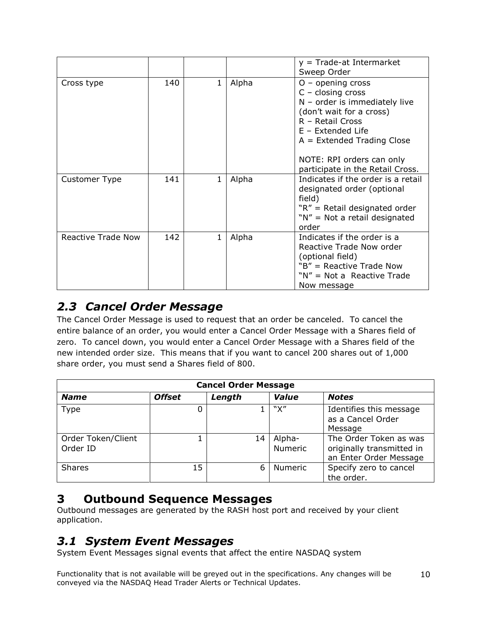|                           |     |              |       | $y =$ Trade-at Intermarket<br>Sweep Order                                                                                                                                                                                                           |
|---------------------------|-----|--------------|-------|-----------------------------------------------------------------------------------------------------------------------------------------------------------------------------------------------------------------------------------------------------|
| Cross type                | 140 | $\mathbf{1}$ | Alpha | $O -$ opening cross<br>$C - closing cross$<br>$N$ – order is immediately live<br>(don't wait for a cross)<br>R - Retail Cross<br>E - Extended Life<br>$A =$ Extended Trading Close<br>NOTE: RPI orders can only<br>participate in the Retail Cross. |
| Customer Type             | 141 | 1            | Alpha | Indicates if the order is a retail<br>designated order (optional<br>field)<br>$"R" = Retail designated order$<br>"N" = Not a retail designated<br>order                                                                                             |
| <b>Reactive Trade Now</b> | 142 | 1            | Alpha | Indicates if the order is a<br>Reactive Trade Now order<br>(optional field)<br>"B" = Reactive Trade Now<br>$N'' = Not a$ Reactive Trade<br>Now message                                                                                              |

#### <span id="page-9-0"></span>*2.3 Cancel Order Message*

The Cancel Order Message is used to request that an order be canceled. To cancel the entire balance of an order, you would enter a Cancel Order Message with a Shares field of zero. To cancel down, you would enter a Cancel Order Message with a Shares field of the new intended order size. This means that if you want to cancel 200 shares out of 1,000 share order, you must send a Shares field of 800.

| <b>Cancel Order Message</b>    |               |        |                          |                                                                               |  |  |  |
|--------------------------------|---------------|--------|--------------------------|-------------------------------------------------------------------------------|--|--|--|
| <b>Name</b>                    | <b>Offset</b> | Length | Value                    | <b>Notes</b>                                                                  |  |  |  |
| Type                           | 0             |        | "Х"                      | Identifies this message<br>as a Cancel Order<br>Message                       |  |  |  |
| Order Token/Client<br>Order ID |               | 14     | Alpha-<br><b>Numeric</b> | The Order Token as was<br>originally transmitted in<br>an Enter Order Message |  |  |  |
| <b>Shares</b>                  | 15            | 6      | Numeric                  | Specify zero to cancel<br>the order.                                          |  |  |  |

#### <span id="page-9-1"></span>**3 Outbound Sequence Messages**

Outbound messages are generated by the RASH host port and received by your client application.

#### <span id="page-9-2"></span>*3.1 System Event Messages*

System Event Messages signal events that affect the entire NASDAQ system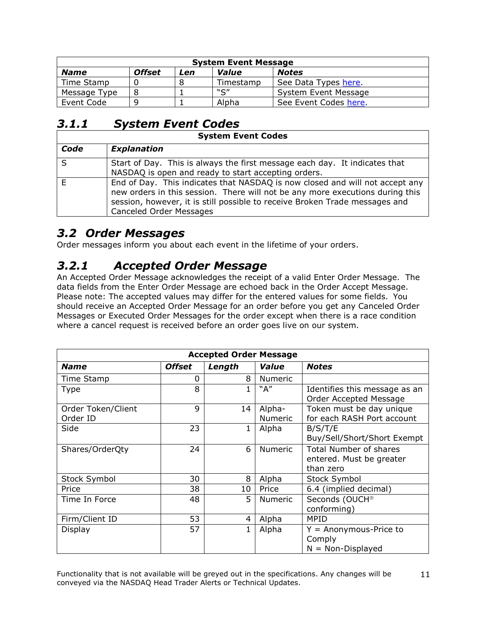| <b>System Event Message</b>                                  |  |  |           |                       |  |  |  |
|--------------------------------------------------------------|--|--|-----------|-----------------------|--|--|--|
| <b>Offset</b><br><b>Notes</b><br>Value<br><b>Name</b><br>Len |  |  |           |                       |  |  |  |
| Time Stamp                                                   |  |  | Timestamp | See Data Types here.  |  |  |  |
| Message Type                                                 |  |  | $"$ C"    | System Event Message  |  |  |  |
| Event Code                                                   |  |  | Alpha     | See Event Codes here. |  |  |  |

#### <span id="page-10-0"></span>*3.1.1 System Event Codes*

| <b>System Event Codes</b> |                                                                                                                                                                                                                                                                                |  |  |  |
|---------------------------|--------------------------------------------------------------------------------------------------------------------------------------------------------------------------------------------------------------------------------------------------------------------------------|--|--|--|
| Code                      | <b>Explanation</b>                                                                                                                                                                                                                                                             |  |  |  |
| S                         | Start of Day. This is always the first message each day. It indicates that<br>NASDAQ is open and ready to start accepting orders.                                                                                                                                              |  |  |  |
| E                         | End of Day. This indicates that NASDAQ is now closed and will not accept any<br>new orders in this session. There will not be any more executions during this<br>session, however, it is still possible to receive Broken Trade messages and<br><b>Canceled Order Messages</b> |  |  |  |

#### <span id="page-10-1"></span>*3.2 Order Messages*

Order messages inform you about each event in the lifetime of your orders.

#### <span id="page-10-2"></span>*3.2.1 Accepted Order Message*

An Accepted Order Message acknowledges the receipt of a valid Enter Order Message. The data fields from the Enter Order Message are echoed back in the Order Accept Message. Please note: The accepted values may differ for the entered values for some fields. You should receive an Accepted Order Message for an order before you get any Canceled Order Messages or Executed Order Messages for the order except when there is a race condition where a cancel request is received before an order goes live on our system.

| <b>Accepted Order Message</b> |               |        |                |                                                         |  |
|-------------------------------|---------------|--------|----------------|---------------------------------------------------------|--|
| <b>Name</b>                   | <b>Offset</b> | Length | Value          | <b>Notes</b>                                            |  |
| Time Stamp                    | 0             | 8      | Numeric        |                                                         |  |
| <b>Type</b>                   | 8             | 1      | "A"            | Identifies this message as an<br>Order Accepted Message |  |
| Order Token/Client            | 9             | 14     | Alpha-         | Token must be day unique                                |  |
| Order ID                      |               |        | <b>Numeric</b> | for each RASH Port account                              |  |
| Side                          | 23            | 1      | Alpha          | B/S/T/E                                                 |  |
|                               |               |        |                | Buy/Sell/Short/Short Exempt                             |  |
| Shares/OrderQty               | 24            | 6      | <b>Numeric</b> | <b>Total Number of shares</b>                           |  |
|                               |               |        |                | entered. Must be greater                                |  |
|                               |               |        |                | than zero                                               |  |
| Stock Symbol                  | 30            | 8      | Alpha          | Stock Symbol                                            |  |
| Price                         | 38            | 10     | Price          | 6.4 (implied decimal)                                   |  |
| Time In Force                 | 48            | 5      | Numeric        | Seconds (OUCH®                                          |  |
|                               |               |        |                | conforming)                                             |  |
| Firm/Client ID                | 53            | 4      | Alpha          | <b>MPID</b>                                             |  |
| Display                       | 57            | 1      | Alpha          | $Y =$ Anonymous-Price to                                |  |
|                               |               |        |                | Comply                                                  |  |
|                               |               |        |                | $N = Non-Displayed$                                     |  |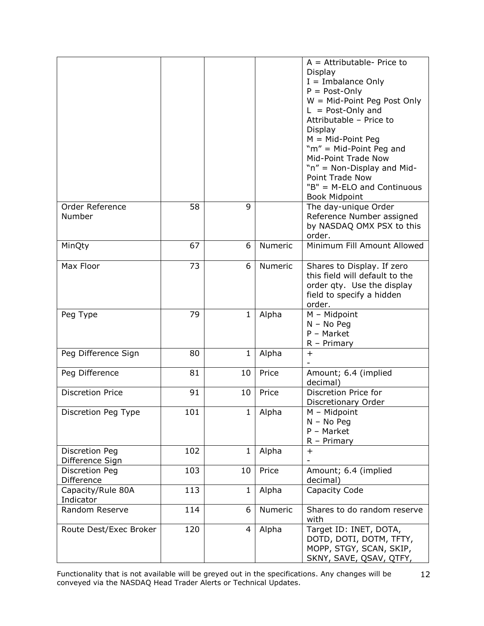|                                   |     |              |         | $A =$ Attributable-Price to<br>Display<br>$I =$ Imbalance Only<br>$P = Post-Only$<br>$W = Mid-Point Peg Post Only$<br>$L = Post-Only$ and<br>Attributable - Price to<br>Display<br>$M = Mid-Point Peg$<br>"m" = Mid-Point Peg and<br>Mid-Point Trade Now<br>"n" = Non-Display and Mid-<br>Point Trade Now<br>"B" = M-ELO and Continuous<br><b>Book Midpoint</b> |
|-----------------------------------|-----|--------------|---------|-----------------------------------------------------------------------------------------------------------------------------------------------------------------------------------------------------------------------------------------------------------------------------------------------------------------------------------------------------------------|
| Order Reference<br>Number         | 58  | 9            |         | The day-unique Order<br>Reference Number assigned<br>by NASDAQ OMX PSX to this<br>order.                                                                                                                                                                                                                                                                        |
| MinQty                            | 67  | 6            | Numeric | Minimum Fill Amount Allowed                                                                                                                                                                                                                                                                                                                                     |
| Max Floor                         | 73  | 6            | Numeric | Shares to Display. If zero<br>this field will default to the<br>order qty. Use the display<br>field to specify a hidden<br>order.                                                                                                                                                                                                                               |
| Peg Type                          | 79  | 1            | Alpha   | $M - Midpoint$<br>$N - No$ Peg<br>P - Market<br>$R$ – Primary                                                                                                                                                                                                                                                                                                   |
| Peg Difference Sign               | 80  | $\mathbf{1}$ | Alpha   | $\ddot{}$                                                                                                                                                                                                                                                                                                                                                       |
| Peg Difference                    | 81  | 10           | Price   | Amount; 6.4 (implied<br>decimal)                                                                                                                                                                                                                                                                                                                                |
| <b>Discretion Price</b>           | 91  | 10           | Price   | Discretion Price for<br>Discretionary Order                                                                                                                                                                                                                                                                                                                     |
| Discretion Peg Type               | 101 | $\mathbf{1}$ | Alpha   | M - Midpoint<br>$N - No$ Peg<br>P - Market<br>$R - Primary$                                                                                                                                                                                                                                                                                                     |
| Discretion Peg<br>Difference Sign | 102 | $\mathbf{1}$ | Alpha   | $\ddot{}$                                                                                                                                                                                                                                                                                                                                                       |
| Discretion Peg<br>Difference      | 103 | 10           | Price   | Amount; 6.4 (implied<br>decimal)                                                                                                                                                                                                                                                                                                                                |
| Capacity/Rule 80A<br>Indicator    | 113 | $\mathbf{1}$ | Alpha   | Capacity Code                                                                                                                                                                                                                                                                                                                                                   |
| Random Reserve                    | 114 | 6            | Numeric | Shares to do random reserve<br>with                                                                                                                                                                                                                                                                                                                             |
| Route Dest/Exec Broker            | 120 | 4            | Alpha   | Target ID: INET, DOTA,<br>DOTD, DOTI, DOTM, TFTY,<br>MOPP, STGY, SCAN, SKIP,<br>SKNY, SAVE, QSAV, QTFY,                                                                                                                                                                                                                                                         |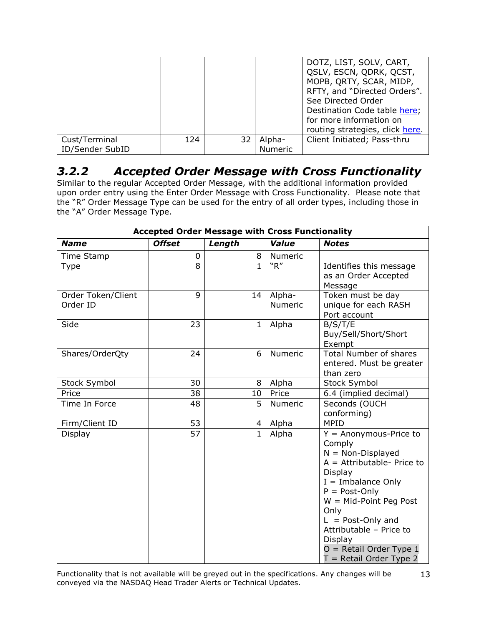|                                  |     |    |                          | DOTZ, LIST, SOLV, CART,<br>QSLV, ESCN, QDRK, QCST,<br>MOPB, QRTY, SCAR, MIDP,<br>RFTY, and "Directed Orders".<br>See Directed Order<br>Destination Code table here;<br>for more information on<br>routing strategies, click here. |
|----------------------------------|-----|----|--------------------------|-----------------------------------------------------------------------------------------------------------------------------------------------------------------------------------------------------------------------------------|
| Cust/Terminal<br>ID/Sender SubID | 124 | 32 | Alpha-<br><b>Numeric</b> | Client Initiated; Pass-thru                                                                                                                                                                                                       |

#### <span id="page-12-0"></span>*3.2.2 Accepted Order Message with Cross Functionality*

Similar to the regular Accepted Order Message, with the additional information provided upon order entry using the Enter Order Message with Cross Functionality. Please note that the "R" Order Message Type can be used for the entry of all order types, including those in the "A" Order Message Type.

| <b>Accepted Order Message with Cross Functionality</b> |                 |                |                   |                                                                                                                                                                                                                                                                                                           |  |
|--------------------------------------------------------|-----------------|----------------|-------------------|-----------------------------------------------------------------------------------------------------------------------------------------------------------------------------------------------------------------------------------------------------------------------------------------------------------|--|
| <b>Name</b>                                            | <b>Offset</b>   | Length         | Value             | <b>Notes</b>                                                                                                                                                                                                                                                                                              |  |
| Time Stamp                                             | 0               | 8              | Numeric           |                                                                                                                                                                                                                                                                                                           |  |
| <b>Type</b>                                            | 8               | $\mathbf{1}$   | "R"               | Identifies this message<br>as an Order Accepted<br>Message                                                                                                                                                                                                                                                |  |
| Order Token/Client<br>Order ID                         | 9               | 14             | Alpha-<br>Numeric | Token must be day<br>unique for each RASH<br>Port account                                                                                                                                                                                                                                                 |  |
| Side                                                   | 23              | $\mathbf{1}$   | Alpha             | B/S/T/E<br>Buy/Sell/Short/Short<br>Exempt                                                                                                                                                                                                                                                                 |  |
| Shares/OrderQty                                        | 24              | 6              | Numeric           | <b>Total Number of shares</b><br>entered. Must be greater<br>than zero                                                                                                                                                                                                                                    |  |
| Stock Symbol                                           | 30              | 8              | Alpha             | <b>Stock Symbol</b>                                                                                                                                                                                                                                                                                       |  |
| Price                                                  | 38              | 10             | Price             | 6.4 (implied decimal)                                                                                                                                                                                                                                                                                     |  |
| Time In Force                                          | 48              | 5              | Numeric           | Seconds (OUCH<br>conforming)                                                                                                                                                                                                                                                                              |  |
| Firm/Client ID                                         | 53              | $\overline{4}$ | Alpha             | <b>MPID</b>                                                                                                                                                                                                                                                                                               |  |
| Display                                                | $\overline{57}$ | $\overline{1}$ | Alpha             | $Y =$ Anonymous-Price to<br>Comply<br>$N = Non-Displayed$<br>$A =$ Attributable-Price to<br>Display<br>$I =$ Imbalance Only<br>$P = Post-Only$<br>$W = Mid-Point Peg Post$<br>Only<br>$L = Post-Only$ and<br>Attributable - Price to<br>Display<br>$O =$ Retail Order Type 1<br>$T =$ Retail Order Type 2 |  |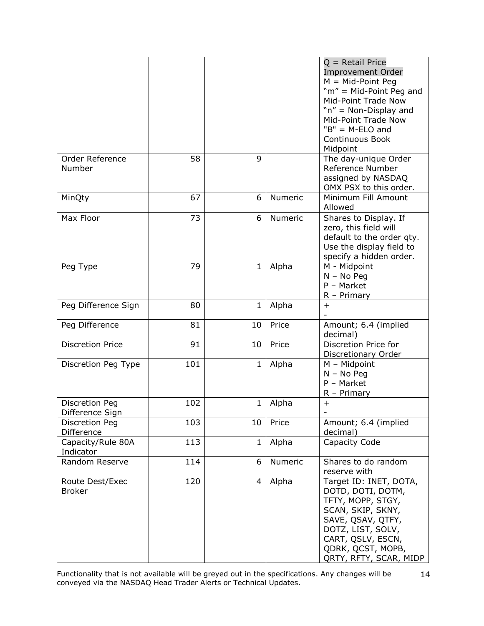|                                   |     |              |         | $Q =$ Retail Price<br><b>Improvement Order</b><br>$M = Mid-Point Peg$<br>"m" = Mid-Point Peg and<br>Mid-Point Trade Now<br>"n" = Non-Display and<br>Mid-Point Trade Now<br>$"B" = M-ELO$ and<br>Continuous Book<br>Midpoint |
|-----------------------------------|-----|--------------|---------|-----------------------------------------------------------------------------------------------------------------------------------------------------------------------------------------------------------------------------|
| Order Reference<br>Number         | 58  | 9            |         | The day-unique Order<br>Reference Number<br>assigned by NASDAQ<br>OMX PSX to this order.                                                                                                                                    |
| MinQty                            | 67  | 6            | Numeric | Minimum Fill Amount<br>Allowed                                                                                                                                                                                              |
| Max Floor                         | 73  | 6            | Numeric | Shares to Display. If<br>zero, this field will<br>default to the order qty.<br>Use the display field to<br>specify a hidden order.                                                                                          |
| Peg Type                          | 79  | 1            | Alpha   | M - Midpoint<br>$N - No$ Peg<br>$P - Market$<br>$R$ – Primary                                                                                                                                                               |
| Peg Difference Sign               | 80  | $\mathbf{1}$ | Alpha   | $^{+}$                                                                                                                                                                                                                      |
| Peg Difference                    | 81  | 10           | Price   | Amount; 6.4 (implied<br>decimal)                                                                                                                                                                                            |
| <b>Discretion Price</b>           | 91  | 10           | Price   | Discretion Price for<br>Discretionary Order                                                                                                                                                                                 |
| Discretion Peg Type               | 101 | $\mathbf{1}$ | Alpha   | $M - Midpoint$<br>$N - No$ Peg<br>$P - Market$<br>$R$ – Primary                                                                                                                                                             |
| Discretion Peg<br>Difference Sign | 102 | $\mathbf{1}$ | Alpha   | $\ddot{}$                                                                                                                                                                                                                   |
| Discretion Peg<br>Difference      | 103 | 10           | Price   | Amount; 6.4 (implied<br>decimal)                                                                                                                                                                                            |
| Capacity/Rule 80A<br>Indicator    | 113 | 1            | Alpha   | Capacity Code                                                                                                                                                                                                               |
| Random Reserve                    | 114 | 6            | Numeric | Shares to do random<br>reserve with                                                                                                                                                                                         |
| Route Dest/Exec<br><b>Broker</b>  | 120 | 4            | Alpha   | Target ID: INET, DOTA,<br>DOTD, DOTI, DOTM,<br>TFTY, MOPP, STGY,<br>SCAN, SKIP, SKNY,<br>SAVE, QSAV, QTFY,<br>DOTZ, LIST, SOLV,<br>CART, QSLV, ESCN,<br>QDRK, QCST, MOPB,<br>QRTY, RFTY, SCAR, MIDP                         |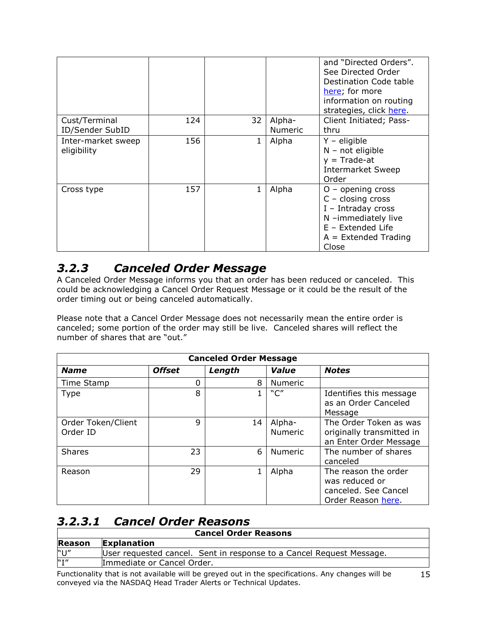|                                   |     |    |                          | and "Directed Orders".<br>See Directed Order<br>Destination Code table<br>here; for more<br>information on routing<br>strategies, click here.       |
|-----------------------------------|-----|----|--------------------------|-----------------------------------------------------------------------------------------------------------------------------------------------------|
| Cust/Terminal<br>ID/Sender SubID  | 124 | 32 | Alpha-<br><b>Numeric</b> | Client Initiated; Pass-<br>thru                                                                                                                     |
| Inter-market sweep<br>eligibility | 156 | 1  | Alpha                    | $Y -$ eligible<br>$N - not eligible$<br>$y = Trade-at$<br><b>Intermarket Sweep</b><br>Order                                                         |
| Cross type                        | 157 |    | Alpha                    | $O -$ opening cross<br>$C - closing cross$<br>$I$ - Intraday cross<br>N -immediately live<br>$E$ – Extended Life<br>$A =$ Extended Trading<br>Close |

#### <span id="page-14-0"></span>*3.2.3 Canceled Order Message*

A Canceled Order Message informs you that an order has been reduced or canceled. This could be acknowledging a Cancel Order Request Message or it could be the result of the order timing out or being canceled automatically.

Please note that a Cancel Order Message does not necessarily mean the entire order is canceled; some portion of the order may still be live. Canceled shares will reflect the number of shares that are "out."

| <b>Canceled Order Message</b>  |               |        |                          |                                                                                      |  |
|--------------------------------|---------------|--------|--------------------------|--------------------------------------------------------------------------------------|--|
| <b>Name</b>                    | <b>Offset</b> | Length | Value                    | <b>Notes</b>                                                                         |  |
| Time Stamp                     | 0             | 8      | <b>Numeric</b>           |                                                                                      |  |
| Type                           | 8             |        | C''                      | Identifies this message<br>as an Order Canceled<br>Message                           |  |
| Order Token/Client<br>Order ID | 9             | 14     | Alpha-<br><b>Numeric</b> | The Order Token as was<br>originally transmitted in<br>an Enter Order Message        |  |
| <b>Shares</b>                  | 23            | 6      | <b>Numeric</b>           | The number of shares<br>canceled                                                     |  |
| Reason                         | 29            |        | Alpha                    | The reason the order<br>was reduced or<br>canceled. See Cancel<br>Order Reason here. |  |

#### <span id="page-14-1"></span>*3.2.3.1 Cancel Order Reasons*

| <b>Cancel Order Reasons</b> |                                                                      |  |  |  |
|-----------------------------|----------------------------------------------------------------------|--|--|--|
| Reason                      | <b>Explanation</b>                                                   |  |  |  |
| $N+1$                       | User requested cancel. Sent in response to a Cancel Request Message. |  |  |  |
| N T''                       | Immediate or Cancel Order.                                           |  |  |  |
|                             |                                                                      |  |  |  |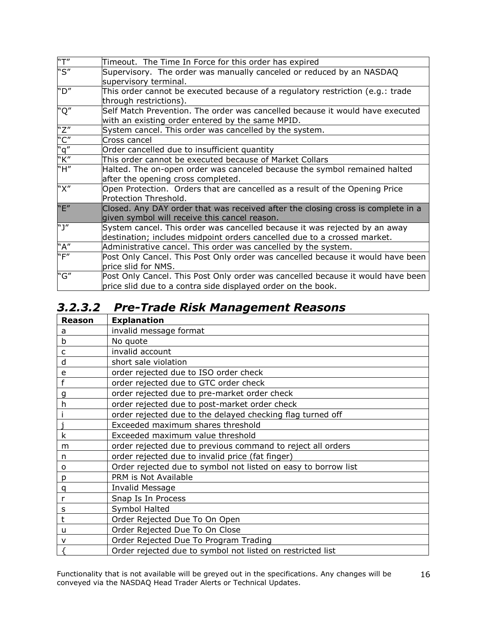| "T" | Timeout. The Time In Force for this order has expired                            |
|-----|----------------------------------------------------------------------------------|
| "S" | Supervisory. The order was manually canceled or reduced by an NASDAQ             |
|     | supervisory terminal.                                                            |
| "D" | This order cannot be executed because of a regulatory restriction (e.g.: trade   |
|     | through restrictions).                                                           |
| "Q" | Self Match Prevention. The order was cancelled because it would have executed    |
|     | with an existing order entered by the same MPID.                                 |
| "Z" | System cancel. This order was cancelled by the system.                           |
| "C" | Cross cancel                                                                     |
| "q" | Order cancelled due to insufficient quantity                                     |
| "K" | This order cannot be executed because of Market Collars                          |
| "H" | Halted. The on-open order was canceled because the symbol remained halted        |
|     | after the opening cross completed.                                               |
| "X" | Open Protection. Orders that are cancelled as a result of the Opening Price      |
|     | Protection Threshold.                                                            |
| "E" | Closed. Any DAY order that was received after the closing cross is complete in a |
|     | given symbol will receive this cancel reason.                                    |
| "J" | System cancel. This order was cancelled because it was rejected by an away       |
|     | destination; includes midpoint orders cancelled due to a crossed market.         |
| "A" | Administrative cancel. This order was cancelled by the system.                   |
| "F" | Post Only Cancel. This Post Only order was cancelled because it would have been  |
|     | price slid for NMS.                                                              |
| "G" | Post Only Cancel. This Post Only order was cancelled because it would have been  |
|     | price slid due to a contra side displayed order on the book.                     |

# <span id="page-15-0"></span>*3.2.3.2 Pre-Trade Risk Management Reasons*

| <b>Reason</b> | <b>Explanation</b>                                             |
|---------------|----------------------------------------------------------------|
| а             | invalid message format                                         |
| b             | No quote                                                       |
| $\mathsf{C}$  | invalid account                                                |
| d             | short sale violation                                           |
| e             | order rejected due to ISO order check                          |
|               | order rejected due to GTC order check                          |
| g             | order rejected due to pre-market order check                   |
| h             | order rejected due to post-market order check                  |
|               | order rejected due to the delayed checking flag turned off     |
|               | Exceeded maximum shares threshold                              |
| k             | Exceeded maximum value threshold                               |
| m             | order rejected due to previous command to reject all orders    |
| n             | order rejected due to invalid price (fat finger)               |
| o             | Order rejected due to symbol not listed on easy to borrow list |
| p             | PRM is Not Available                                           |
| q             | Invalid Message                                                |
| r             | Snap Is In Process                                             |
| S             | Symbol Halted                                                  |
| t             | Order Rejected Due To On Open                                  |
| u             | Order Rejected Due To On Close                                 |
| $\mathsf{v}$  | Order Rejected Due To Program Trading                          |
|               | Order rejected due to symbol not listed on restricted list     |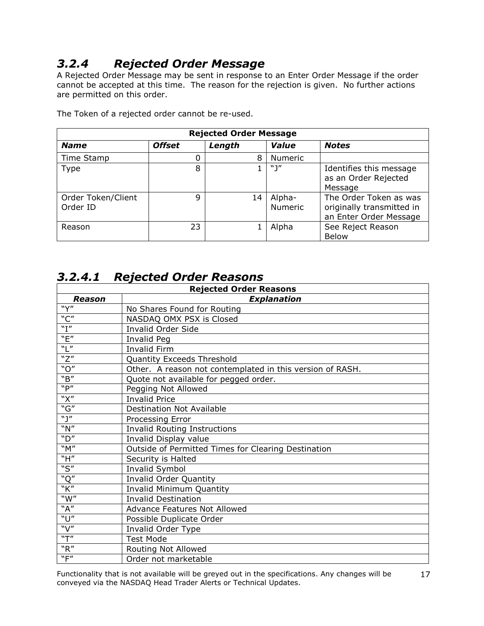# <span id="page-16-0"></span>*3.2.4 Rejected Order Message*

A Rejected Order Message may be sent in response to an Enter Order Message if the order cannot be accepted at this time. The reason for the rejection is given. No further actions are permitted on this order.

| <b>Rejected Order Message</b>  |               |        |                          |                                                                               |  |
|--------------------------------|---------------|--------|--------------------------|-------------------------------------------------------------------------------|--|
| <b>Name</b>                    | <b>Offset</b> | Length | Value                    | <b>Notes</b>                                                                  |  |
| Time Stamp                     | 0             | 8      | Numeric                  |                                                                               |  |
| <b>Type</b>                    | 8             |        | $N \mid H$               | Identifies this message<br>as an Order Rejected<br>Message                    |  |
| Order Token/Client<br>Order ID | 9             | 14     | Alpha-<br><b>Numeric</b> | The Order Token as was<br>originally transmitted in<br>an Enter Order Message |  |
| Reason                         | 23            |        | Alpha                    | See Reject Reason<br><b>Below</b>                                             |  |

The Token of a rejected order cannot be re-used.

#### <span id="page-16-1"></span>*3.2.4.1 Rejected Order Reasons*

| <b>Rejected Order Reasons</b> |                                                           |  |  |  |  |
|-------------------------------|-----------------------------------------------------------|--|--|--|--|
| Reason                        | <b>Explanation</b>                                        |  |  |  |  |
| $\overline{y''}$              | No Shares Found for Routing                               |  |  |  |  |
| "C"                           | NASDAQ OMX PSX is Closed                                  |  |  |  |  |
| "I"                           | Invalid Order Side                                        |  |  |  |  |
| "E"                           | Invalid Peg                                               |  |  |  |  |
| "L"                           | <b>Invalid Firm</b>                                       |  |  |  |  |
| "Z"                           | Quantity Exceeds Threshold                                |  |  |  |  |
| "O"                           | Other. A reason not contemplated in this version of RASH. |  |  |  |  |
| "B"                           | Quote not available for pegged order.                     |  |  |  |  |
| "P"                           | Pegging Not Allowed                                       |  |  |  |  |
| "X"                           | <b>Invalid Price</b>                                      |  |  |  |  |
| "G"                           | <b>Destination Not Available</b>                          |  |  |  |  |
| "1"                           | Processing Error                                          |  |  |  |  |
| "N"                           | <b>Invalid Routing Instructions</b>                       |  |  |  |  |
| "D"                           | Invalid Display value                                     |  |  |  |  |
| M''                           | Outside of Permitted Times for Clearing Destination       |  |  |  |  |
| "H"                           | Security is Halted                                        |  |  |  |  |
| "S"                           | Invalid Symbol                                            |  |  |  |  |
| "Q"                           | Invalid Order Quantity                                    |  |  |  |  |
| "K"                           | <b>Invalid Minimum Quantity</b>                           |  |  |  |  |
| W''                           | <b>Invalid Destination</b>                                |  |  |  |  |
| "A"                           | <b>Advance Features Not Allowed</b>                       |  |  |  |  |
| "U"                           | Possible Duplicate Order                                  |  |  |  |  |
| "V"                           | Invalid Order Type                                        |  |  |  |  |
| "T"                           | <b>Test Mode</b>                                          |  |  |  |  |
| "R"                           | Routing Not Allowed                                       |  |  |  |  |
| "F"                           | Order not marketable                                      |  |  |  |  |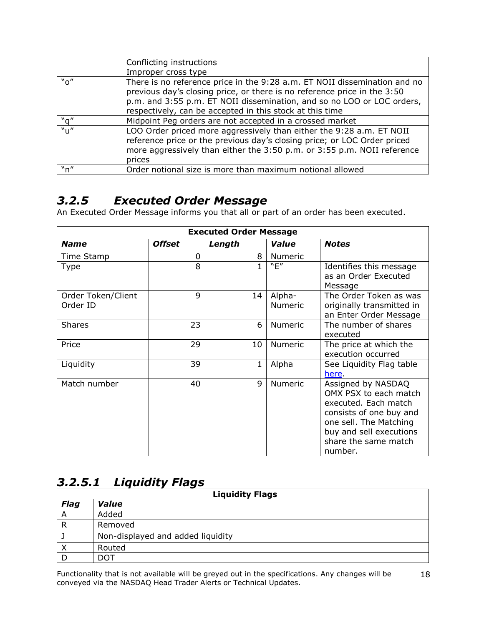|                                                  | Conflicting instructions                                                                                                                                                                                                                                                                    |
|--------------------------------------------------|---------------------------------------------------------------------------------------------------------------------------------------------------------------------------------------------------------------------------------------------------------------------------------------------|
|                                                  | Improper cross type                                                                                                                                                                                                                                                                         |
| "o"                                              | There is no reference price in the 9:28 a.m. ET NOII dissemination and no<br>previous day's closing price, or there is no reference price in the 3:50<br>p.m. and 3:55 p.m. ET NOII dissemination, and so no LOO or LOC orders,<br>respectively, can be accepted in this stock at this time |
| "q"                                              | Midpoint Peg orders are not accepted in a crossed market                                                                                                                                                                                                                                    |
| $^{\prime\prime}$ <sub>U</sub> $^{\prime\prime}$ | LOO Order priced more aggressively than either the 9:28 a.m. ET NOII<br>reference price or the previous day's closing price; or LOC Order priced<br>more aggressively than either the 3:50 p.m. or 3:55 p.m. NOII reference<br>prices                                                       |
| "n"                                              | Order notional size is more than maximum notional allowed                                                                                                                                                                                                                                   |

#### <span id="page-17-0"></span>*3.2.5 Executed Order Message*

An Executed Order Message informs you that all or part of an order has been executed.

| <b>Executed Order Message</b>  |               |        |                   |                                                                                                                                                                                        |  |  |
|--------------------------------|---------------|--------|-------------------|----------------------------------------------------------------------------------------------------------------------------------------------------------------------------------------|--|--|
| <b>Name</b>                    | <b>Offset</b> | Length | Value             | <b>Notes</b>                                                                                                                                                                           |  |  |
| Time Stamp                     | 0             | 8      | <b>Numeric</b>    |                                                                                                                                                                                        |  |  |
| Type                           | 8             | 1      | "E"               | Identifies this message<br>as an Order Executed<br>Message                                                                                                                             |  |  |
| Order Token/Client<br>Order ID | 9             | 14     | Alpha-<br>Numeric | The Order Token as was<br>originally transmitted in<br>an Enter Order Message                                                                                                          |  |  |
| <b>Shares</b>                  | 23            | 6      | Numeric           | The number of shares<br>executed                                                                                                                                                       |  |  |
| Price                          | 29            | 10     | Numeric           | The price at which the<br>execution occurred                                                                                                                                           |  |  |
| Liquidity                      | 39            | 1      | Alpha             | See Liquidity Flag table<br>here.                                                                                                                                                      |  |  |
| Match number                   | 40            | 9      | <b>Numeric</b>    | Assigned by NASDAQ<br>OMX PSX to each match<br>executed. Each match<br>consists of one buy and<br>one sell. The Matching<br>buy and sell executions<br>share the same match<br>number. |  |  |

#### <span id="page-17-1"></span>*3.2.5.1 Liquidity Flags*

| <b>Liquidity Flags</b> |                                   |  |  |
|------------------------|-----------------------------------|--|--|
| <b>Flag</b>            | Value                             |  |  |
| A                      | Added                             |  |  |
| $\mathsf{R}$           | Removed                           |  |  |
|                        | Non-displayed and added liquidity |  |  |
| Χ                      | Routed                            |  |  |
|                        | וספ                               |  |  |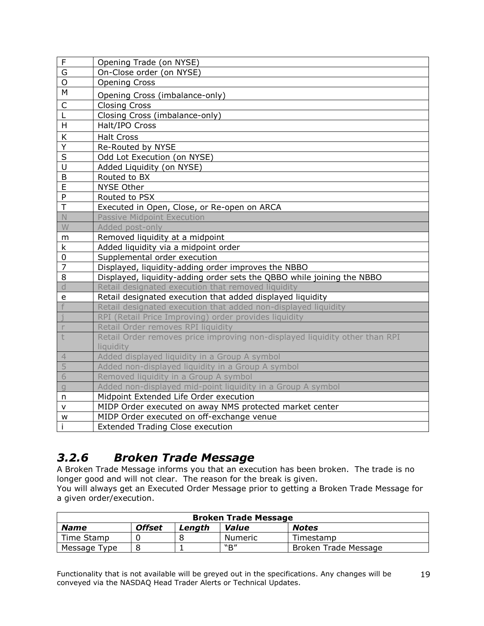| $\mathsf{F}$            | Opening Trade (on NYSE)                                                     |
|-------------------------|-----------------------------------------------------------------------------|
| G                       | On-Close order (on NYSE)                                                    |
| $\mathsf{O}$            | <b>Opening Cross</b>                                                        |
| M                       | Opening Cross (imbalance-only)                                              |
| $\mathsf C$             | <b>Closing Cross</b>                                                        |
| L                       | Closing Cross (imbalance-only)                                              |
| H                       | Halt/IPO Cross                                                              |
| К                       | <b>Halt Cross</b>                                                           |
| $\overline{Y}$          | Re-Routed by NYSE                                                           |
| S                       | Odd Lot Execution (on NYSE)                                                 |
| $\overline{U}$          | Added Liquidity (on NYSE)                                                   |
| B                       | Routed to BX                                                                |
| $\overline{E}$          | <b>NYSE Other</b>                                                           |
| P                       | Routed to PSX                                                               |
| $\overline{\mathsf{T}}$ | Executed in Open, Close, or Re-open on ARCA                                 |
| $\mathbb N$             | <b>Passive Midpoint Execution</b>                                           |
| W                       | Added post-only                                                             |
| m                       | Removed liquidity at a midpoint                                             |
| k                       | Added liquidity via a midpoint order                                        |
| $\overline{0}$          | Supplemental order execution                                                |
| 7                       | Displayed, liquidity-adding order improves the NBBO                         |
| 8                       | Displayed, liquidity-adding order sets the QBBO while joining the NBBO      |
| d                       | Retail designated execution that removed liquidity                          |
| e                       | Retail designated execution that added displayed liquidity                  |
|                         | Retail designated execution that added non-displayed liquidity              |
|                         | RPI (Retail Price Improving) order provides liquidity                       |
| r                       | Retail Order removes RPI liquidity                                          |
| t                       | Retail Order removes price improving non-displayed liquidity other than RPI |
|                         | liquidity                                                                   |
| $\overline{4}$          | Added displayed liquidity in a Group A symbol                               |
| 5                       | Added non-displayed liquidity in a Group A symbol                           |
| 6                       | Removed liquidity in a Group A symbol                                       |
| q                       | Added non-displayed mid-point liquidity in a Group A symbol                 |
| n                       | Midpoint Extended Life Order execution                                      |
| v                       | MIDP Order executed on away NMS protected market center                     |
| W                       | MIDP Order executed on off-exchange venue                                   |
|                         | <b>Extended Trading Close execution</b>                                     |

## <span id="page-18-0"></span>*3.2.6 Broken Trade Message*

A Broken Trade Message informs you that an execution has been broken. The trade is no longer good and will not clear. The reason for the break is given.

You will always get an Executed Order Message prior to getting a Broken Trade Message for a given order/execution.

| <b>Broken Trade Message</b> |               |        |         |                      |
|-----------------------------|---------------|--------|---------|----------------------|
| <b>Name</b>                 | <b>Offset</b> | Lenath | Value   | <b>Notes</b>         |
| Time Stamp                  |               |        | Numeric | Timestamp            |
| Message Type                |               |        | "R"     | Broken Trade Message |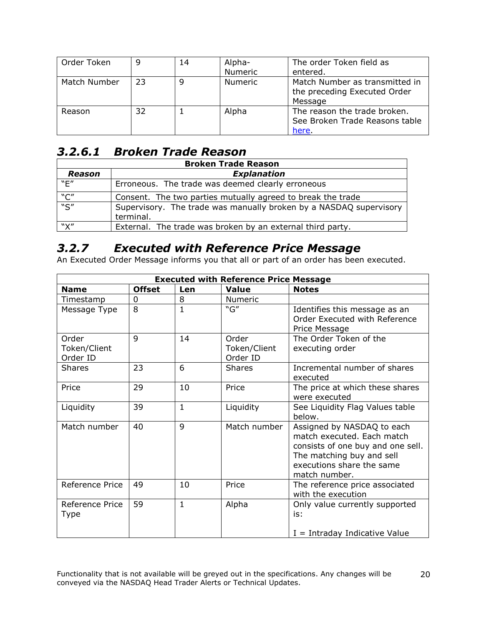| Order Token  | 9  | 14 | Alpha-<br>Numeric | The order Token field as<br>entered.                                      |
|--------------|----|----|-------------------|---------------------------------------------------------------------------|
| Match Number | 23 | q  | <b>Numeric</b>    | Match Number as transmitted in<br>the preceding Executed Order<br>Message |
| Reason       | 32 |    | Alpha             | The reason the trade broken.<br>See Broken Trade Reasons table<br>here.   |

#### <span id="page-19-0"></span>*3.2.6.1 Broken Trade Reason*

| <b>Broken Trade Reason</b> |                                                                                 |  |  |  |
|----------------------------|---------------------------------------------------------------------------------|--|--|--|
| Reason                     | <b>Explanation</b>                                                              |  |  |  |
| "E"                        | Erroneous. The trade was deemed clearly erroneous                               |  |  |  |
| "C"                        | Consent. The two parties mutually agreed to break the trade                     |  |  |  |
| $\overline{\mathbb{S}''}$  | Supervisory. The trade was manually broken by a NASDAQ supervisory<br>terminal. |  |  |  |
| "X"                        | External. The trade was broken by an external third party.                      |  |  |  |

#### <span id="page-19-1"></span>*3.2.7 Executed with Reference Price Message*

An Executed Order Message informs you that all or part of an order has been executed.

| <b>Executed with Reference Price Message</b> |               |              |                          |                                                                                                                                                                          |  |
|----------------------------------------------|---------------|--------------|--------------------------|--------------------------------------------------------------------------------------------------------------------------------------------------------------------------|--|
| <b>Name</b>                                  | <b>Offset</b> | Len          | <b>Value</b>             | <b>Notes</b>                                                                                                                                                             |  |
| Timestamp                                    | 0             | 8            | Numeric                  |                                                                                                                                                                          |  |
| Message Type                                 | 8             | $\mathbf{1}$ | "G"                      | Identifies this message as an<br>Order Executed with Reference<br>Price Message                                                                                          |  |
| Order                                        | 9             | 14           | Order                    | The Order Token of the                                                                                                                                                   |  |
| Token/Client<br>Order ID                     |               |              | Token/Client<br>Order ID | executing order                                                                                                                                                          |  |
| <b>Shares</b>                                | 23            | 6            | <b>Shares</b>            | Incremental number of shares<br>executed                                                                                                                                 |  |
| Price                                        | 29            | 10           | Price                    | The price at which these shares<br>were executed                                                                                                                         |  |
| Liquidity                                    | 39            | $\mathbf{1}$ | Liquidity                | See Liquidity Flag Values table<br>below.                                                                                                                                |  |
| Match number                                 | 40            | 9            | Match number             | Assigned by NASDAQ to each<br>match executed. Each match<br>consists of one buy and one sell.<br>The matching buy and sell<br>executions share the same<br>match number. |  |
| Reference Price                              | 49            | 10           | Price                    | The reference price associated<br>with the execution                                                                                                                     |  |
| Reference Price<br>Type                      | 59            | $\mathbf{1}$ | Alpha                    | Only value currently supported<br>is:                                                                                                                                    |  |
|                                              |               |              |                          | $I = Intraday Indicative Value$                                                                                                                                          |  |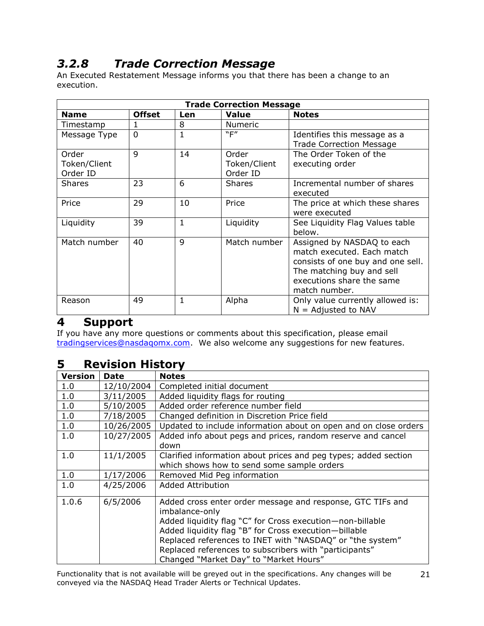# <span id="page-20-0"></span>*3.2.8 Trade Correction Message*

An Executed Restatement Message informs you that there has been a change to an execution.

| <b>Trade Correction Message</b>   |                |              |                                   |                                                                                                                                                                          |
|-----------------------------------|----------------|--------------|-----------------------------------|--------------------------------------------------------------------------------------------------------------------------------------------------------------------------|
| <b>Name</b>                       | <b>Offset</b>  | Len          | <b>Value</b>                      | <b>Notes</b>                                                                                                                                                             |
| Timestamp                         | 1              | 8            | <b>Numeric</b>                    |                                                                                                                                                                          |
| Message Type                      | $\overline{0}$ | 1            | "F"                               | Identifies this message as a<br><b>Trade Correction Message</b>                                                                                                          |
| Order<br>Token/Client<br>Order ID | $\mathsf{Q}$   | 14           | Order<br>Token/Client<br>Order ID | The Order Token of the<br>executing order                                                                                                                                |
| <b>Shares</b>                     | 23             | 6            | <b>Shares</b>                     | Incremental number of shares<br>executed                                                                                                                                 |
| Price                             | 29             | 10           | Price                             | The price at which these shares<br>were executed                                                                                                                         |
| Liquidity                         | 39             | $\mathbf{1}$ | Liquidity                         | See Liquidity Flag Values table<br>below.                                                                                                                                |
| Match number                      | 40             | $\mathsf{Q}$ | Match number                      | Assigned by NASDAQ to each<br>match executed. Each match<br>consists of one buy and one sell.<br>The matching buy and sell<br>executions share the same<br>match number. |
| Reason                            | 49             | 1            | Alpha                             | Only value currently allowed is:<br>$N =$ Adjusted to NAV                                                                                                                |

#### <span id="page-20-1"></span>**4 Support**

If you have any more questions or comments about this specification, please email [tradingservices@nasdaqomx.com.](mailto:tradingservices@nasdaqomx.com) We also welcome any suggestions for new features.

#### <span id="page-20-2"></span>**5 Revision History**

| <b>Version</b> | <b>Date</b> | <b>Notes</b>                                                                                                                                                                                                                                                                                                                                                        |
|----------------|-------------|---------------------------------------------------------------------------------------------------------------------------------------------------------------------------------------------------------------------------------------------------------------------------------------------------------------------------------------------------------------------|
| 1.0            | 12/10/2004  | Completed initial document                                                                                                                                                                                                                                                                                                                                          |
| 1.0            | 3/11/2005   | Added liquidity flags for routing                                                                                                                                                                                                                                                                                                                                   |
| 1.0            | 5/10/2005   | Added order reference number field                                                                                                                                                                                                                                                                                                                                  |
| 1.0            | 7/18/2005   | Changed definition in Discretion Price field                                                                                                                                                                                                                                                                                                                        |
| 1.0            | 10/26/2005  | Updated to include information about on open and on close orders                                                                                                                                                                                                                                                                                                    |
| 1.0            | 10/27/2005  | Added info about pegs and prices, random reserve and cancel<br>down                                                                                                                                                                                                                                                                                                 |
| 1.0            | 11/1/2005   | Clarified information about prices and peg types; added section<br>which shows how to send some sample orders                                                                                                                                                                                                                                                       |
| 1.0            | 1/17/2006   | Removed Mid Peg information                                                                                                                                                                                                                                                                                                                                         |
| 1.0            | 4/25/2006   | <b>Added Attribution</b>                                                                                                                                                                                                                                                                                                                                            |
| 1.0.6          | 6/5/2006    | Added cross enter order message and response, GTC TIFs and<br>imbalance-only<br>Added liquidity flag "C" for Cross execution-non-billable<br>Added liquidity flag "B" for Cross execution-billable<br>Replaced references to INET with "NASDAQ" or "the system"<br>Replaced references to subscribers with "participants"<br>Changed "Market Day" to "Market Hours" |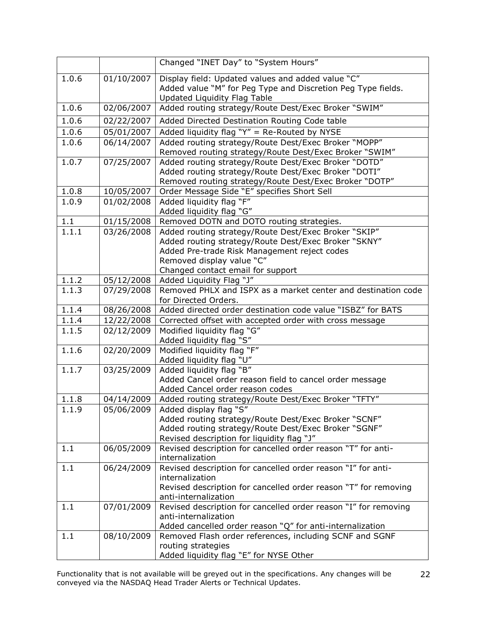|         |            | Changed "INET Day" to "System Hours"                                                                                                                                                                                           |
|---------|------------|--------------------------------------------------------------------------------------------------------------------------------------------------------------------------------------------------------------------------------|
| 1.0.6   | 01/10/2007 | Display field: Updated values and added value "C"<br>Added value "M" for Peg Type and Discretion Peg Type fields.<br>Updated Liquidity Flag Table                                                                              |
| 1.0.6   | 02/06/2007 | Added routing strategy/Route Dest/Exec Broker "SWIM"                                                                                                                                                                           |
| 1.0.6   | 02/22/2007 | Added Directed Destination Routing Code table                                                                                                                                                                                  |
| 1.0.6   | 05/01/2007 | Added liquidity flag "Y" = Re-Routed by NYSE                                                                                                                                                                                   |
| 1.0.6   | 06/14/2007 | Added routing strategy/Route Dest/Exec Broker "MOPP"                                                                                                                                                                           |
|         |            | Removed routing strategy/Route Dest/Exec Broker "SWIM"                                                                                                                                                                         |
| 1.0.7   | 07/25/2007 | Added routing strategy/Route Dest/Exec Broker "DOTD"<br>Added routing strategy/Route Dest/Exec Broker "DOTI"<br>Removed routing strategy/Route Dest/Exec Broker "DOTP"                                                         |
| 1.0.8   | 10/05/2007 | Order Message Side "E" specifies Short Sell                                                                                                                                                                                    |
| 1.0.9   | 01/02/2008 | Added liquidity flag "F"<br>Added liquidity flag "G"                                                                                                                                                                           |
| $1.1\,$ | 01/15/2008 | Removed DOTN and DOTO routing strategies.                                                                                                                                                                                      |
| 1.1.1   | 03/26/2008 | Added routing strategy/Route Dest/Exec Broker "SKIP"<br>Added routing strategy/Route Dest/Exec Broker "SKNY"<br>Added Pre-trade Risk Management reject codes<br>Removed display value "C"<br>Changed contact email for support |
| 1.1.2   | 05/12/2008 | Added Liquidity Flag "J"                                                                                                                                                                                                       |
| 1.1.3   | 07/29/2008 | Removed PHLX and ISPX as a market center and destination code<br>for Directed Orders.                                                                                                                                          |
| 1.1.4   | 08/26/2008 | Added directed order destination code value "ISBZ" for BATS                                                                                                                                                                    |
| 1.1.4   | 12/22/2008 | Corrected offset with accepted order with cross message                                                                                                                                                                        |
| 1.1.5   | 02/12/2009 | Modified liquidity flag "G"<br>Added liquidity flag "S"                                                                                                                                                                        |
| 1.1.6   | 02/20/2009 | Modified liquidity flag "F"<br>Added liquidity flag "U"                                                                                                                                                                        |
| 1.1.7   | 03/25/2009 | Added liquidity flag "B"<br>Added Cancel order reason field to cancel order message<br>Added Cancel order reason codes                                                                                                         |
| 1.1.8   | 04/14/2009 | Added routing strategy/Route Dest/Exec Broker "TFTY"                                                                                                                                                                           |
| 1.1.9   | 05/06/2009 | Added display flag "S"                                                                                                                                                                                                         |
|         |            | Added routing strategy/Route Dest/Exec Broker "SCNF"<br>Added routing strategy/Route Dest/Exec Broker "SGNF"<br>Revised description for liquidity flag "J"                                                                     |
| 1.1     | 06/05/2009 | Revised description for cancelled order reason "T" for anti-<br>internalization                                                                                                                                                |
| 1.1     | 06/24/2009 | Revised description for cancelled order reason "I" for anti-<br>internalization<br>Revised description for cancelled order reason "T" for removing<br>anti-internalization                                                     |
| 1.1     | 07/01/2009 | Revised description for cancelled order reason "I" for removing<br>anti-internalization<br>Added cancelled order reason "Q" for anti-internalization                                                                           |
| 1.1     | 08/10/2009 | Removed Flash order references, including SCNF and SGNF<br>routing strategies<br>Added liquidity flag "E" for NYSE Other                                                                                                       |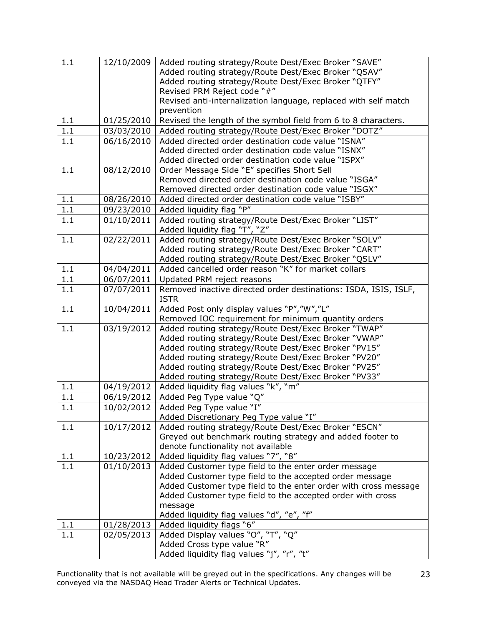| 1.1 | 12/10/2009 | Added routing strategy/Route Dest/Exec Broker "SAVE"                                                                          |
|-----|------------|-------------------------------------------------------------------------------------------------------------------------------|
|     |            | Added routing strategy/Route Dest/Exec Broker "QSAV"                                                                          |
|     |            | Added routing strategy/Route Dest/Exec Broker "QTFY"                                                                          |
|     |            | Revised PRM Reject code "#"                                                                                                   |
|     |            | Revised anti-internalization language, replaced with self match                                                               |
|     |            | prevention                                                                                                                    |
| 1.1 | 01/25/2010 | Revised the length of the symbol field from 6 to 8 characters.                                                                |
| 1.1 | 03/03/2010 | Added routing strategy/Route Dest/Exec Broker "DOTZ"                                                                          |
| 1.1 | 06/16/2010 | Added directed order destination code value "ISNA"                                                                            |
|     |            | Added directed order destination code value "ISNX"                                                                            |
|     |            | Added directed order destination code value "ISPX"                                                                            |
| 1.1 | 08/12/2010 | Order Message Side "E" specifies Short Sell                                                                                   |
|     |            | Removed directed order destination code value "ISGA"                                                                          |
|     |            | Removed directed order destination code value "ISGX"                                                                          |
| 1.1 | 08/26/2010 | Added directed order destination code value "ISBY"                                                                            |
| 1.1 | 09/23/2010 | Added liquidity flag "P"                                                                                                      |
| 1.1 | 01/10/2011 | Added routing strategy/Route Dest/Exec Broker "LIST"                                                                          |
|     |            | Added liquidity flag "T", "Z"                                                                                                 |
| 1.1 | 02/22/2011 | Added routing strategy/Route Dest/Exec Broker "SOLV"                                                                          |
|     |            | Added routing strategy/Route Dest/Exec Broker "CART"                                                                          |
|     |            | Added routing strategy/Route Dest/Exec Broker "QSLV"                                                                          |
| 1.1 | 04/04/2011 | Added cancelled order reason "K" for market collars                                                                           |
| 1.1 | 06/07/2011 | Updated PRM reject reasons                                                                                                    |
| 1.1 | 07/07/2011 | Removed inactive directed order destinations: ISDA, ISIS, ISLF,                                                               |
|     |            | <b>ISTR</b>                                                                                                                   |
| 1.1 | 10/04/2011 | Added Post only display values "P","W","L"                                                                                    |
|     |            | Removed IOC requirement for minimum quantity orders                                                                           |
| 1.1 | 03/19/2012 | Added routing strategy/Route Dest/Exec Broker "TWAP"                                                                          |
|     |            | Added routing strategy/Route Dest/Exec Broker "VWAP"                                                                          |
|     |            | Added routing strategy/Route Dest/Exec Broker "PV15"                                                                          |
|     |            | Added routing strategy/Route Dest/Exec Broker "PV20"                                                                          |
|     |            | Added routing strategy/Route Dest/Exec Broker "PV25"                                                                          |
|     |            | Added routing strategy/Route Dest/Exec Broker "PV33"                                                                          |
| 1.1 |            | 04/19/2012   Added liquidity flag values "k", "m"                                                                             |
| 1.1 | 06/19/2012 | Added Peg Type value "Q"                                                                                                      |
| 1.1 | 10/02/2012 | Added Peg Type value "I"                                                                                                      |
|     |            | Added Discretionary Peg Type value "I"                                                                                        |
| 1.1 | 10/17/2012 | Added routing strategy/Route Dest/Exec Broker "ESCN"                                                                          |
|     |            | Greyed out benchmark routing strategy and added footer to                                                                     |
|     |            | denote functionality not available                                                                                            |
| 1.1 | 10/23/2012 | Added liquidity flag values "7", "8"                                                                                          |
| 1.1 | 01/10/2013 | Added Customer type field to the enter order message                                                                          |
|     |            | Added Customer type field to the accepted order message                                                                       |
|     |            | Added Customer type field to the enter order with cross message<br>Added Customer type field to the accepted order with cross |
|     |            |                                                                                                                               |
|     |            | message<br>Added liquidity flag values "d", "e", "f"                                                                          |
| 1.1 | 01/28/2013 | Added liquidity flags "6"                                                                                                     |
| 1.1 | 02/05/2013 | Added Display values "O", "T", "Q"                                                                                            |
|     |            | Added Cross type value "R"                                                                                                    |
|     |            | Added liquidity flag values "j", "r", "t"                                                                                     |
|     |            |                                                                                                                               |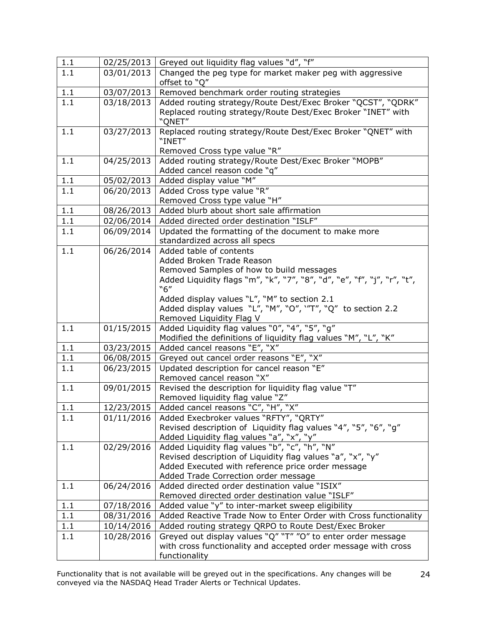| 1.1     | 02/25/2013 | Greyed out liquidity flag values "d", "f"                                                                                                                                                                                                              |
|---------|------------|--------------------------------------------------------------------------------------------------------------------------------------------------------------------------------------------------------------------------------------------------------|
| 1.1     | 03/01/2013 | Changed the peg type for market maker peg with aggressive                                                                                                                                                                                              |
|         |            | offset to "Q"                                                                                                                                                                                                                                          |
| 1.1     | 03/07/2013 | Removed benchmark order routing strategies                                                                                                                                                                                                             |
| 1.1     | 03/18/2013 | Added routing strategy/Route Dest/Exec Broker "QCST", "QDRK"<br>Replaced routing strategy/Route Dest/Exec Broker "INET" with<br>"QNET"                                                                                                                 |
| 1.1     | 03/27/2013 | Replaced routing strategy/Route Dest/Exec Broker "QNET" with<br>"INET"<br>Removed Cross type value "R"                                                                                                                                                 |
| 1.1     | 04/25/2013 | Added routing strategy/Route Dest/Exec Broker "MOPB"<br>Added cancel reason code "q"                                                                                                                                                                   |
| 1.1     | 05/02/2013 | Added display value "M"                                                                                                                                                                                                                                |
| 1.1     | 06/20/2013 | Added Cross type value "R"<br>Removed Cross type value "H"                                                                                                                                                                                             |
| 1.1     | 08/26/2013 | Added blurb about short sale affirmation                                                                                                                                                                                                               |
| 1.1     | 02/06/2014 | Added directed order destination "ISLF"                                                                                                                                                                                                                |
| 1.1     | 06/09/2014 | Updated the formatting of the document to make more<br>standardized across all specs                                                                                                                                                                   |
| 1.1     | 06/26/2014 | Added table of contents<br>Added Broken Trade Reason<br>Removed Samples of how to build messages<br>Added Liquidity flags "m", "k", "7", "8", "d", "e", "f", "j", "r", "t",<br>"6"                                                                     |
| 1.1     | 01/15/2015 | Added display values "L", "M" to section 2.1<br>Added display values "L", "M", "O", ''T", "Q" to section 2.2<br>Removed Liquidity Flag V<br>Added Liquidity flag values "0", "4", "5", "g"                                                             |
|         |            | Modified the definitions of liquidity flag values "M", "L", "K"                                                                                                                                                                                        |
| 1.1     | 03/23/2015 | Added cancel reasons "E", "X"                                                                                                                                                                                                                          |
| 1.1     | 06/08/2015 | Greyed out cancel order reasons "E", "X"                                                                                                                                                                                                               |
| 1.1     | 06/23/2015 | Updated description for cancel reason "E"<br>Removed cancel reason "X"                                                                                                                                                                                 |
| 1.1     | 09/01/2015 | Revised the description for liquidity flag value "T"<br>Removed liquidity flag value "Z"                                                                                                                                                               |
| 1.1     | 12/23/2015 | Added cancel reasons "C", "H", "X"                                                                                                                                                                                                                     |
| $1.1\,$ | 01/11/2016 | Added Execbroker values "RFTY", "QRTY"<br>Revised description of Liquidity flag values "4", "5", "6", "g"                                                                                                                                              |
| 1.1     | 02/29/2016 | Added Liquidity flag values "a", "x", "y"<br>Added Liquidity flag values "b", "c", "h", "N"<br>Revised description of Liquidity flag values "a", "x", "y"<br>Added Executed with reference price order message<br>Added Trade Correction order message |
| 1.1     | 06/24/2016 | Added directed order destination value "ISIX"<br>Removed directed order destination value "ISLF"                                                                                                                                                       |
| 1.1     | 07/18/2016 | Added value "y" to inter-market sweep eligibility                                                                                                                                                                                                      |
| 1.1     | 08/31/2016 | Added Reactive Trade Now to Enter Order with Cross functionality                                                                                                                                                                                       |
| 1.1     | 10/14/2016 | Added routing strategy QRPO to Route Dest/Exec Broker                                                                                                                                                                                                  |
| 1.1     | 10/28/2016 | Greyed out display values "Q" "T" "O" to enter order message<br>with cross functionality and accepted order message with cross<br>functionality                                                                                                        |